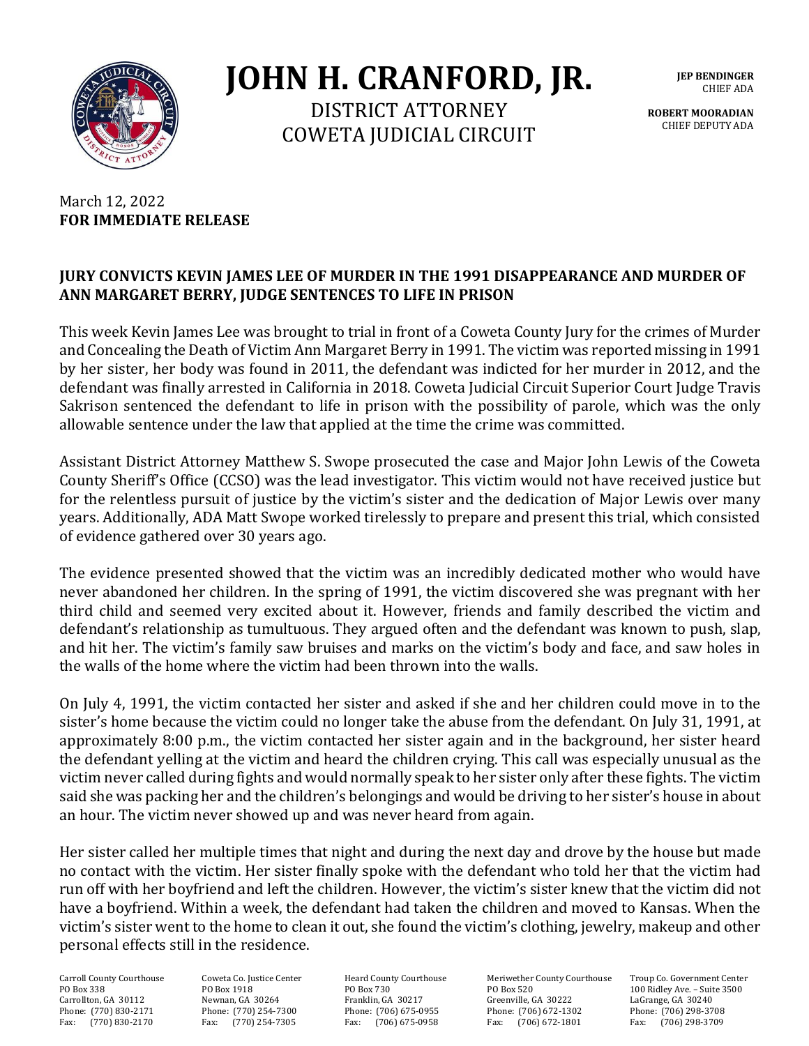

**JOHN H. CRANFORD, JR.**

DISTRICT ATTORNEY COWETA JUDICIAL CIRCUIT **JEP BENDINGER** CHIEF ADA

**ROBERT MOORADIAN** CHIEF DEPUTY ADA

## March 12, 2022 **FOR IMMEDIATE RELEASE**

## **JURY CONVICTS KEVIN JAMES LEE OF MURDER IN THE 1991 DISAPPEARANCE AND MURDER OF ANN MARGARET BERRY, JUDGE SENTENCES TO LIFE IN PRISON**

This week Kevin James Lee was brought to trial in front of a Coweta County Jury for the crimes of Murder and Concealing the Death of Victim Ann Margaret Berry in 1991. The victim was reported missing in 1991 by her sister, her body was found in 2011, the defendant was indicted for her murder in 2012, and the defendant was finally arrested in California in 2018. Coweta Judicial Circuit Superior Court Judge Travis Sakrison sentenced the defendant to life in prison with the possibility of parole, which was the only allowable sentence under the law that applied at the time the crime was committed.

Assistant District Attorney Matthew S. Swope prosecuted the case and Major John Lewis of the Coweta County Sheriff's Office (CCSO) was the lead investigator. This victim would not have received justice but for the relentless pursuit of justice by the victim's sister and the dedication of Major Lewis over many years. Additionally, ADA Matt Swope worked tirelessly to prepare and present this trial, which consisted of evidence gathered over 30 years ago.

The evidence presented showed that the victim was an incredibly dedicated mother who would have never abandoned her children. In the spring of 1991, the victim discovered she was pregnant with her third child and seemed very excited about it. However, friends and family described the victim and defendant's relationship as tumultuous. They argued often and the defendant was known to push, slap, and hit her. The victim's family saw bruises and marks on the victim's body and face, and saw holes in the walls of the home where the victim had been thrown into the walls.

On July 4, 1991, the victim contacted her sister and asked if she and her children could move in to the sister's home because the victim could no longer take the abuse from the defendant. On July 31, 1991, at approximately 8:00 p.m., the victim contacted her sister again and in the background, her sister heard the defendant yelling at the victim and heard the children crying. This call was especially unusual as the victim never called during fights and would normally speak to her sister only after these fights. The victim said she was packing her and the children's belongings and would be driving to her sister's house in about an hour. The victim never showed up and was never heard from again.

Her sister called her multiple times that night and during the next day and drove by the house but made no contact with the victim. Her sister finally spoke with the defendant who told her that the victim had run off with her boyfriend and left the children. However, the victim's sister knew that the victim did not have a boyfriend. Within a week, the defendant had taken the children and moved to Kansas. When the victim's sister went to the home to clean it out, she found the victim's clothing, jewelry, makeup and other personal effects still in the residence.

Fax: (770) 254-7305

Carroll County Courthouse Coweta Co. Justice Center Heard County Courthouse Meriwether County Courthouse Troup Co. Government Center PO Box 338 PO Box 1918 PO Box 730 PO Box 520 PO Box 338 100 Ridley Ave. – Suite 3500<br>Carrollton, GA 30112 Newnan, GA 30264 Franklin, GA 30217 Greenville, GA 30222 LaGrange, GA 30240 Carrollton, GA 30112 Newnan, GA 30264 Franklin, GA 30217 Greenville, GA 30222 LaGrange, GA 30240 Phone: (770) 830-2171 Phone: (770) 254-7300 Phone: (706) 675-0955 Phone: (706) 672-1302 Phone: (706) 298-3708